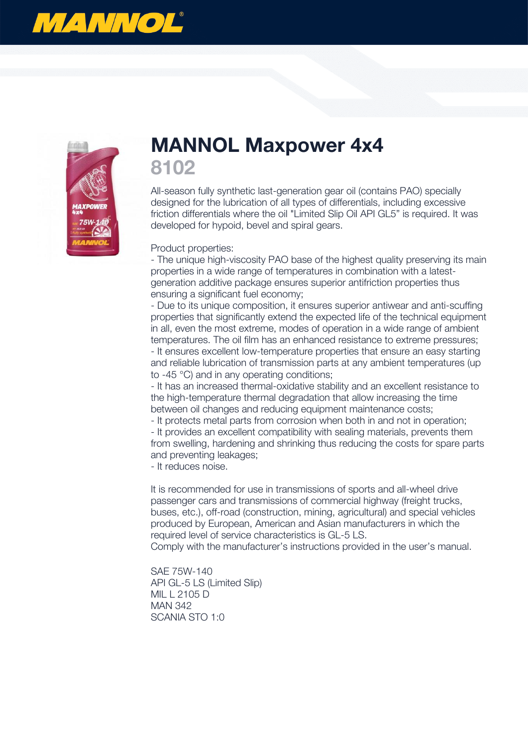



## **MANNOL Maxpower 4x4 8102**

All-season fully synthetic last-generation gear oil (contains PAO) specially designed for the lubrication of all types of differentials, including excessive friction differentials where the oil "Limited Slip Oil API GL5" is required. It was developed for hypoid, bevel and spiral gears.

Product properties:

- The unique high-viscosity PAO base of the highest quality preserving its main properties in a wide range of temperatures in combination with a latestgeneration additive package ensures superior antifriction properties thus ensuring a significant fuel economy;

- Due to its unique composition, it ensures superior antiwear and anti-scuffing properties that significantly extend the expected life of the technical equipment in all, even the most extreme, modes of operation in a wide range of ambient temperatures. The oil film has an enhanced resistance to extreme pressures; - It ensures excellent low-temperature properties that ensure an easy starting and reliable lubrication of transmission parts at any ambient temperatures (up to -45 °C) and in any operating conditions;

- It has an increased thermal-oxidative stability and an excellent resistance to the high-temperature thermal degradation that allow increasing the time between oil changes and reducing equipment maintenance costs;

- It protects metal parts from corrosion when both in and not in operation;

- It provides an excellent compatibility with sealing materials, prevents them from swelling, hardening and shrinking thus reducing the costs for spare parts and preventing leakages;

- It reduces noise.

It is recommended for use in transmissions of sports and all-wheel drive passenger cars and transmissions of commercial highway (freight trucks, buses, etc.), off-road (construction, mining, agricultural) and special vehicles produced by European, American and Asian manufacturers in which the required level of service characteristics is GL-5 LS.

Comply with the manufacturer's instructions provided in the user's manual.

SAE 75W-140 API GL-5 LS (Limited Slip) MIL L 2105 D MAN 342 SCANIA STO 1:0